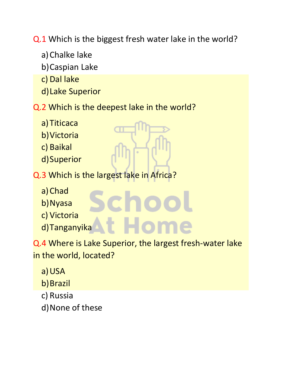Q.1 Which is the biggest fresh water lake in the world?

- a)Chalke lake
- b)Caspian Lake
- c) Dal lake
- d)Lake Superior
- Q.2 Which is the deepest lake in the world?
	- a) Titicaca
	- b)Victoria
	- c) Baikal
	- d)Superior
- Q.3 Which is the largest lake in Africa?
	- a)Chad
	- b)Nyasa
	- c) Victoria
	- d)Tanganyika

Q.4 Where is Lake Superior, the largest fresh-water lake in the world, located?

**Hon** 

- a)USA
- b)Brazil
- c) Russia
- d)None of these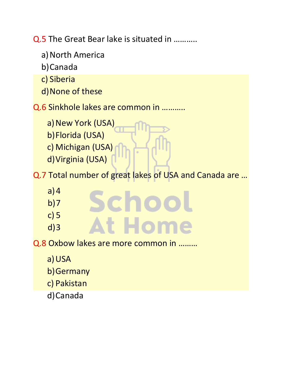Q.5 The Great Bear lake is situated in ………..

- a) North America
- b)Canada
- c) Siberia
- d)None of these

Q.6 Sinkhole lakes are common in ………..

- a) New York (USA)
- b)Florida (USA)
- c) Michigan (USA)
- d)Virginia (USA)

Q.7 Total number of great lakes of USA and Canada are …

- $a)4$
- $b)7$
- c) 5
- d)3
- t Hom

Schoo

Q.8 Oxbow lakes are more common in ………

- a)USA
- b)Germany
- c) Pakistan
- d)Canada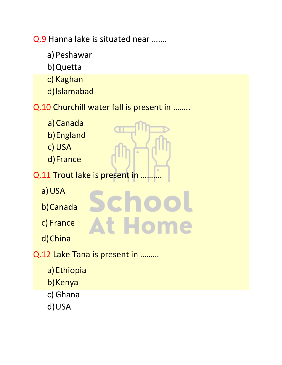Q.9 Hanna lake is situated near …….

- a) Peshawar
- b)Quetta
- c) Kaghan
- d)Islamabad

## Q.10 Churchill water fall is present in ……..

Schoc

**At Home** 

- a)Canada
- b)England
- c) USA
- d)France
- Q.11 Trout lake is present in
	- a)USA
	- b)Canada
	- c) France
	- d)China
- Q.12 Lake Tana is present in ………
	- a)Ethiopia
	- b) Kenya
	- c) Ghana
	- d)USA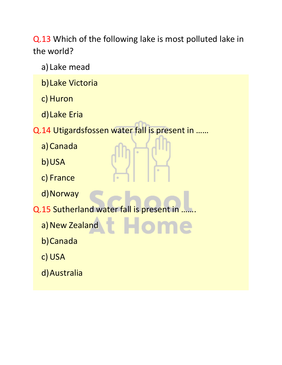Q.13 Which of the following lake is most polluted lake in the world?

- a) Lake mead
- b)Lake Victoria
- c) Huron
- d)Lake Eria
- Q.14 Utigardsfossen water fall is present in ……
	- a)Canada
	- b)USA
	- c) France
	- d) Norway
- Q.15 Sutherland water fall is present in
	- a) New Zealand
	- b)Canada
	- c) USA
	- d)Australia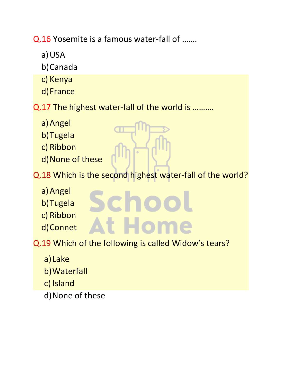Q.16 Yosemite is a famous water-fall of …….

- a)USA
- b)Canada
- c) Kenya
- d)France
- Q.17 The highest water-fall of the world is ……….
	- a)Angel
	- b)Tugela
	- c) Ribbon
	- d)None of these

Q.18 Which is the second highest water-fall of the world?

t Hom

- a)Angel
- b)Tugela
- c) Ribbon
- d)Connet
- Q.19 Which of the following is called Widow's tears?

icho

- a) Lake
- b)Waterfall
- c) Island
- d)None of these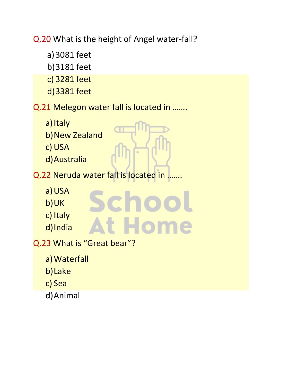Q.20 What is the height of Angel water-fall?